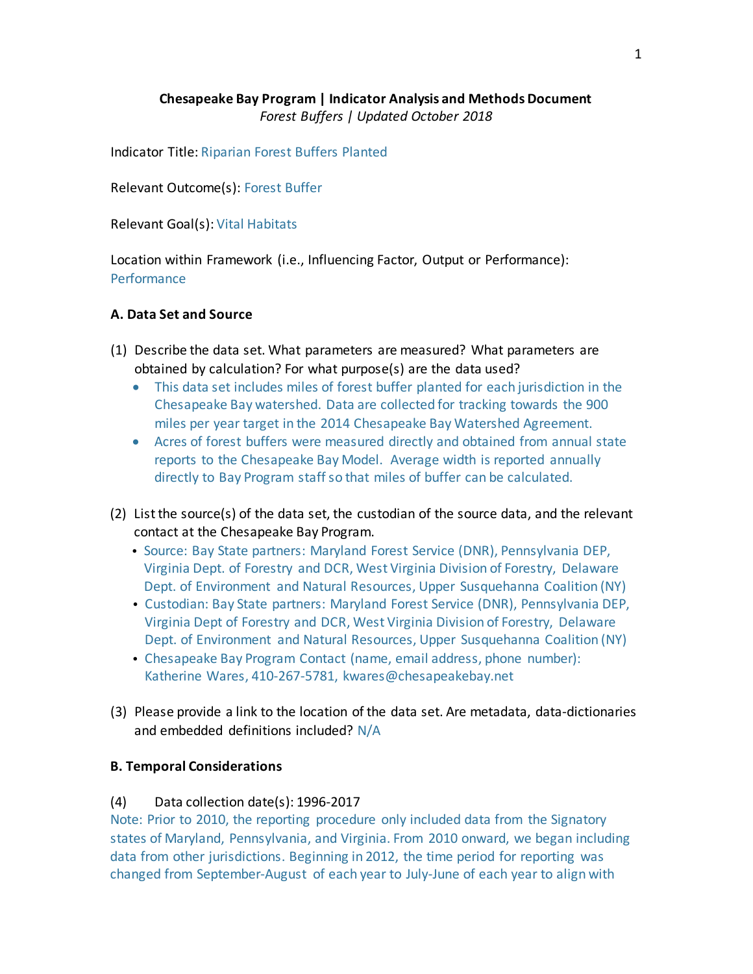# **Chesapeake Bay Program | Indicator Analysis and Methods Document** *Forest Buffers | Updated October 2018*

Indicator Title: Riparian Forest Buffers Planted

Relevant Outcome(s): Forest Buffer

Relevant Goal(s): Vital Habitats

Location within Framework (i.e., Influencing Factor, Output or Performance): **Performance** 

## **A. Data Set and Source**

- (1) Describe the data set. What parameters are measured? What parameters are obtained by calculation? For what purpose(s) are the data used?
	- This data set includes miles of forest buffer planted for each jurisdiction in the Chesapeake Bay watershed. Data are collected for tracking towards the 900 miles per year target in the 2014 Chesapeake Bay Watershed Agreement.
	- Acres of forest buffers were measured directly and obtained from annual state reports to the Chesapeake Bay Model. Average width is reported annually directly to Bay Program staff so that miles of buffer can be calculated.
- (2) Listthe source(s) of the data set, the custodian of the source data, and the relevant contact at the Chesapeake Bay Program.
	- Source: Bay State partners: Maryland Forest Service (DNR), Pennsylvania DEP, Virginia Dept. of Forestry and DCR, West Virginia Division of Forestry, Delaware Dept. of Environment and Natural Resources, Upper Susquehanna Coalition (NY)
	- Custodian: Bay State partners: Maryland Forest Service (DNR), Pennsylvania DEP, Virginia Dept of Forestry and DCR, West Virginia Division of Forestry, Delaware Dept. of Environment and Natural Resources, Upper Susquehanna Coalition (NY)
	- Chesapeake Bay Program Contact (name, email address, phone number): Katherine Wares, 410-267-5781, kwares@chesapeakebay.net
- (3) Please provide a link to the location of the data set. Are metadata, data-dictionaries and embedded definitions included? N/A

## **B. Temporal Considerations**

### (4) Data collection date(s): 1996-2017

Note: Prior to 2010, the reporting procedure only included data from the Signatory states of Maryland, Pennsylvania, and Virginia. From 2010 onward, we began including data from other jurisdictions. Beginning in 2012, the time period for reporting was changed from September-August of each year to July-June of each year to align with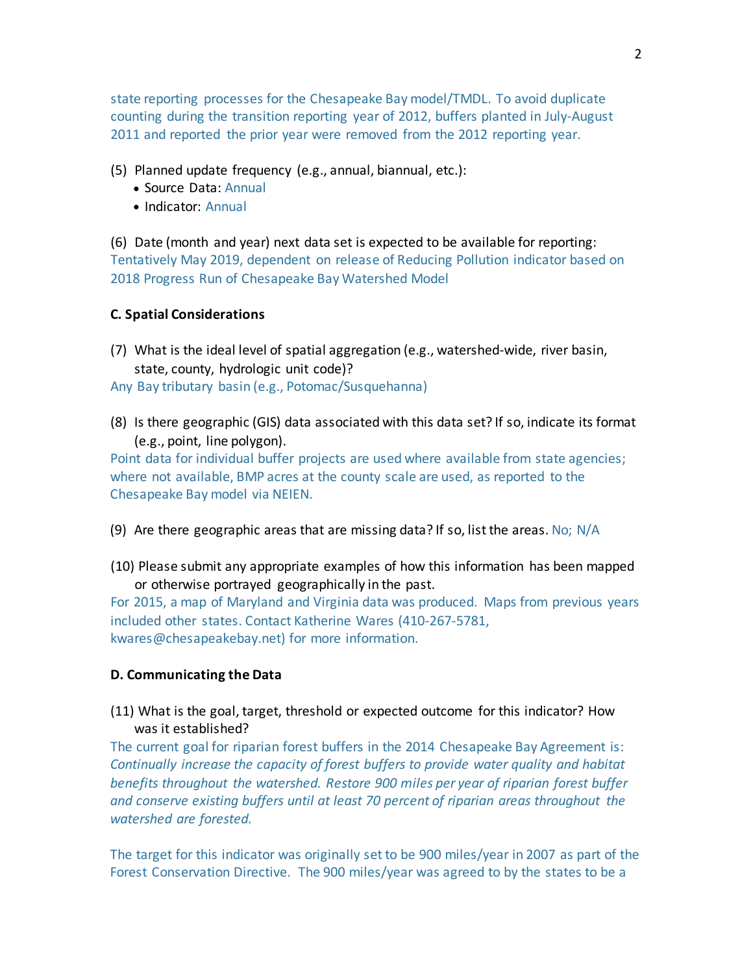state reporting processes for the Chesapeake Bay model/TMDL. To avoid duplicate counting during the transition reporting year of 2012, buffers planted in July-August 2011 and reported the prior year were removed from the 2012 reporting year.

- (5) Planned update frequency (e.g., annual, biannual, etc.):
	- Source Data: Annual
	- Indicator: Annual

(6) Date (month and year) next data set is expected to be available for reporting: Tentatively May 2019, dependent on release of Reducing Pollution indicator based on 2018 Progress Run of Chesapeake Bay Watershed Model

#### **C. Spatial Considerations**

- (7) What is the ideal level of spatial aggregation (e.g., watershed-wide, river basin, state, county, hydrologic unit code)? Any Bay tributary basin (e.g., Potomac/Susquehanna)
- (8) Is there geographic (GIS) data associated with this data set? If so, indicate its format (e.g., point, line polygon).

Point data for individual buffer projects are used where available from state agencies; where not available, BMP acres at the county scale are used, as reported to the Chesapeake Bay model via NEIEN.

- (9) Are there geographic areas that are missing data? If so, list the areas. No;  $N/A$
- (10) Please submit any appropriate examples of how this information has been mapped or otherwise portrayed geographically in the past.

For 2015, a map of Maryland and Virginia data was produced. Maps from previous years included other states. Contact Katherine Wares (410-267-5781, kwares@chesapeakebay.net) for more information.

#### **D. Communicating the Data**

(11) What is the goal, target, threshold or expected outcome for this indicator? How was it established?

The current goal for riparian forest buffers in the 2014 Chesapeake Bay Agreement is: *Continually increase the capacity of forest buffers to provide water quality and habitat benefits throughout the watershed. Restore 900 miles per year of riparian forest buffer and conserve existing buffers until at least 70 percent of riparian areas throughout the watershed are forested.*

The target for this indicator was originally setto be 900 miles/year in 2007 as part of the Forest Conservation Directive. The 900 miles/year was agreed to by the states to be a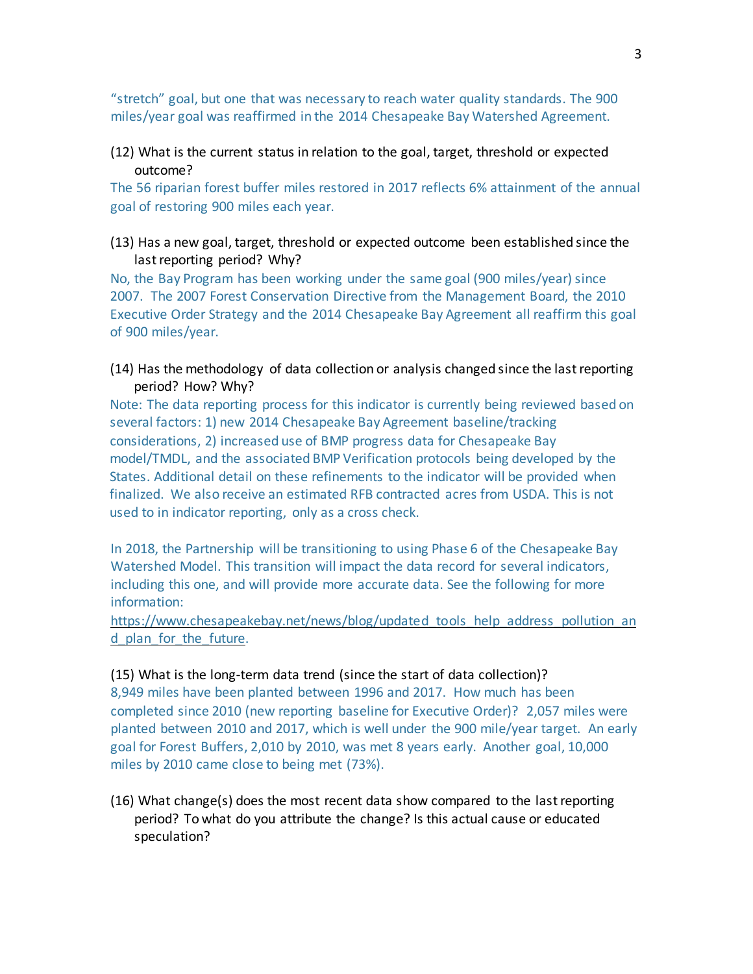"stretch" goal, but one that was necessary to reach water quality standards. The 900 miles/year goal was reaffirmed in the 2014 Chesapeake Bay Watershed Agreement.

(12) What is the current status in relation to the goal, target, threshold or expected outcome?

The 56 riparian forest buffer miles restored in 2017 reflects 6% attainment of the annual goal of restoring 900 miles each year.

(13) Has a new goal, target, threshold or expected outcome been established since the last reporting period? Why?

No, the Bay Program has been working under the same goal (900 miles/year) since 2007. The 2007 Forest Conservation Directive from the Management Board, the 2010 Executive Order Strategy and the 2014 Chesapeake Bay Agreement all reaffirm this goal of 900 miles/year.

(14) Has the methodology of data collection or analysis changed since the lastreporting period? How? Why?

Note: The data reporting process for this indicator is currently being reviewed based on several factors: 1) new 2014 Chesapeake Bay Agreement baseline/tracking considerations, 2) increased use of BMP progress data for Chesapeake Bay model/TMDL, and the associated BMP Verification protocols being developed by the States. Additional detail on these refinements to the indicator will be provided when finalized. We also receive an estimated RFB contracted acres from USDA. This is not used to in indicator reporting, only as a cross check.

In 2018, the Partnership will be transitioning to using Phase 6 of the Chesapeake Bay Watershed Model. This transition will impact the data record for several indicators, including this one, and will provide more accurate data. See the following for more information:

https://www.chesapeakebay.net/news/blog/updated tools help address pollution an d plan for the future.

(15) What is the long-term data trend (since the start of data collection)? 8,949 miles have been planted between 1996 and 2017. How much has been completed since 2010 (new reporting baseline for Executive Order)? 2,057 miles were planted between 2010 and 2017, which is well under the 900 mile/year target. An early goal for Forest Buffers, 2,010 by 2010, was met 8 years early. Another goal, 10,000 miles by 2010 came close to being met (73%).

(16) What change(s) does the most recent data show compared to the lastreporting period? To what do you attribute the change? Is this actual cause or educated speculation?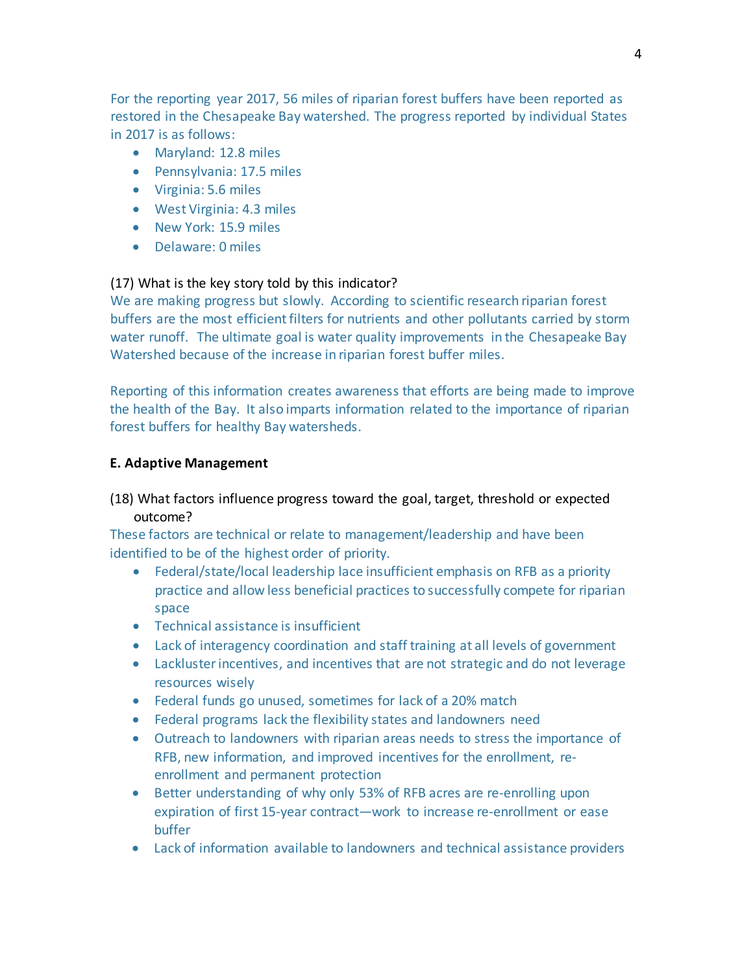For the reporting year 2017, 56 miles of riparian forest buffers have been reported as restored in the Chesapeake Bay watershed. The progress reported by individual States in 2017 is as follows:

- Maryland: 12.8 miles
- Pennsylvania: 17.5 miles
- Virginia: 5.6 miles
- West Virginia: 4.3 miles
- New York: 15.9 miles
- Delaware: 0 miles

### (17) What is the key story told by this indicator?

We are making progress but slowly. According to scientific research riparian forest buffers are the most efficient filters for nutrients and other pollutants carried by storm water runoff. The ultimate goal is water quality improvements in the Chesapeake Bay Watershed because of the increase in riparian forest buffer miles.

Reporting of this information creates awareness that efforts are being made to improve the health of the Bay. It also imparts information related to the importance of riparian forest buffers for healthy Bay watersheds.

#### **E. Adaptive Management**

## (18) What factors influence progress toward the goal, target, threshold or expected outcome?

These factors are technical or relate to management/leadership and have been identified to be of the highest order of priority.

- Federal/state/local leadership lace insufficient emphasis on RFB as a priority practice and allow less beneficial practices to successfully compete for riparian space
- Technical assistance is insufficient
- Lack of interagency coordination and staff training at all levels of government
- Lacklusterincentives, and incentives that are not strategic and do not leverage resources wisely
- Federal funds go unused, sometimes for lack of a 20% match
- Federal programs lack the flexibility states and landowners need
- Outreach to landowners with riparian areas needs to stress the importance of RFB, new information, and improved incentives for the enrollment, reenrollment and permanent protection
- Better understanding of why only 53% of RFB acres are re-enrolling upon expiration of first 15-year contract—work to increase re-enrollment or ease buffer
- Lack of information available to landowners and technical assistance providers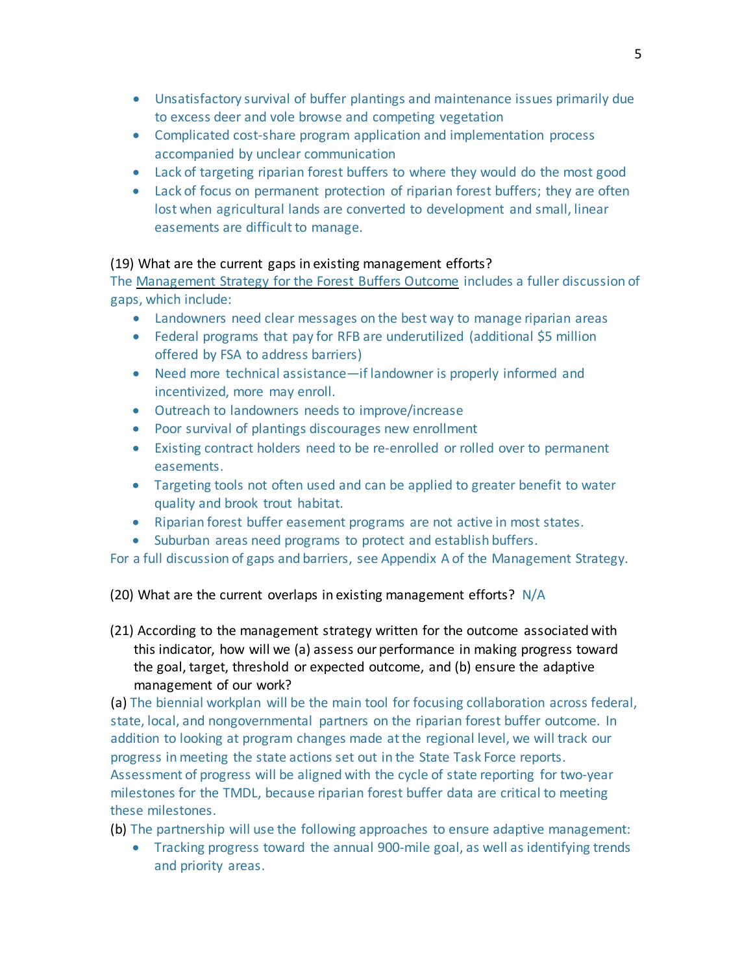- Unsatisfactory survival of buffer plantings and maintenance issues primarily due to excess deer and vole browse and competing vegetation
- Complicated cost-share program application and implementation process accompanied by unclear communication
- Lack of targeting riparian forest buffers to where they would do the most good
- Lack of focus on permanent protection of riparian forest buffers; they are often lost when agricultural lands are converted to development and small, linear easements are difficult to manage.

# (19) What are the current gaps in existing management efforts?

The [Management](https://www.chesapeakebay.net/managementstrategies/strategy/forest_buffer) Strategy for the Forest Buffers Outcome includes a fuller discussion of gaps, which include:

- Landowners need clear messages on the best way to manage riparian areas
- Federal programs that pay for RFB are underutilized (additional \$5 million offered by FSA to address barriers)
- Need more technical assistance—if landowner is properly informed and incentivized, more may enroll.
- Outreach to landowners needs to improve/increase
- Poor survival of plantings discourages new enrollment
- Existing contract holders need to be re-enrolled or rolled over to permanent easements.
- Targeting tools not often used and can be applied to greater benefit to water quality and brook trout habitat.
- Riparian forest buffer easement programs are not active in most states.
- Suburban areas need programs to protect and establish buffers.

For a full discussion of gaps and barriers, see Appendix A of the Management Strategy.

(20) What are the current overlaps in existing management efforts? N/A

(21) According to the management strategy written for the outcome associated with this indicator, how will we (a) assess our performance in making progress toward the goal, target, threshold or expected outcome, and (b) ensure the adaptive management of our work?

(a) The biennial [workplan](http://www.chesapeakebay.net/documents/22043/final_rfb_workplan.pdf) will be the main tool for focusing collaboration across federal, state, local, and nongovernmental partners on the riparian forest buffer outcome. In addition to looking at program changes made atthe regional level, we will track our progress in meeting the state actions set out in the State Task Force reports. Assessment of progress will be aligned with the cycle of state reporting for two-year milestones for the TMDL, because riparian forest buffer data are critical to meeting these milestones.

(b) The partnership will use the following approaches to ensure adaptive management:

• Tracking progress toward the annual 900-mile goal, as well as identifying trends and priority areas.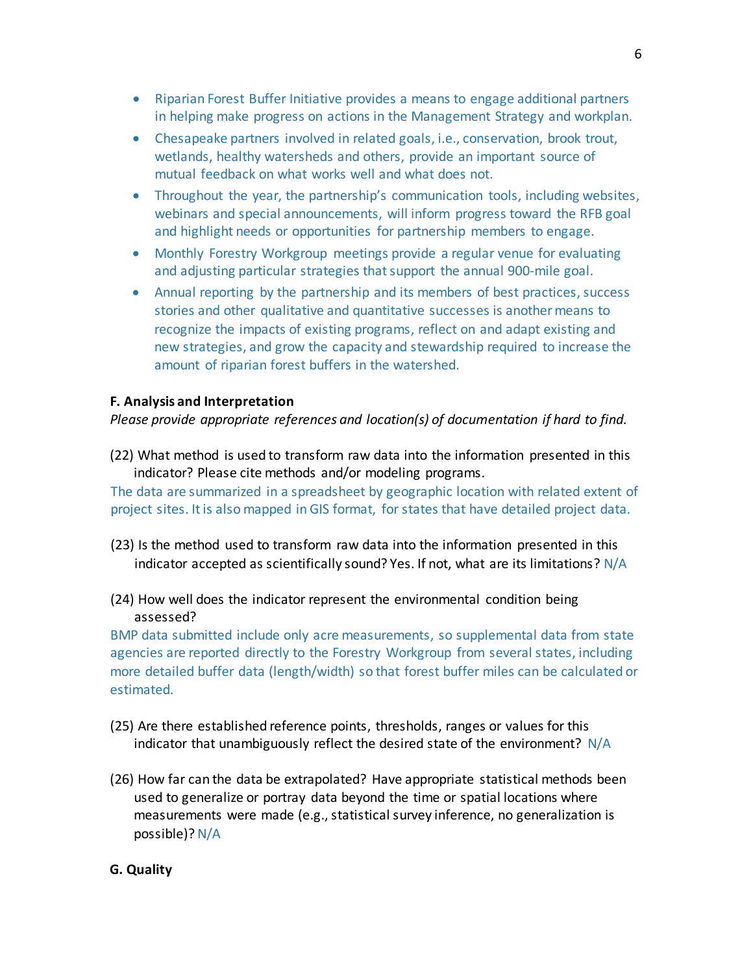- Riparian Forest Buffer Initiative provides a means to engage additional partners in helping make progress on actions in the Management Strategy and workplan.
- Chesapeake partners involved in related goals, i.e., conservation, brook trout, wetlands, healthy watersheds and others, provide an important source of mutual feedback on what works well and what does not.
- Throughout the year, the partnership's communication tools, including websites, webinars and special announcements, will inform progress toward the RFB goal and highlight needs or opportunities for partnership members to engage.
- Monthly Forestry Workgroup meetings provide a regular venue for evaluating and adjusting particular strategies thatsupport the annual 900-mile goal.
- Annual reporting by the partnership and its members of best practices, success stories and other qualitative and quantitative successes is anothermeans to recognize the impacts of existing programs, reflect on and adapt existing and new strategies, and grow the capacity and stewardship required to increase the amount of riparian forest buffers in the watershed.

## **F. Analysis and Interpretation**

*Please provide appropriate references and location(s) of documentation if hard to find.*

(22) What method is used to transform raw data into the information presented in this indicator? Please cite methods and/or modeling programs.

The data are summarized in a spreadsheet by geographic location with related extent of project sites. Itis alsomapped in GIS format, for states that have detailed project data.

- (23) Is the method used to transform raw data into the information presented in this indicator accepted as scientifically sound? Yes. If not, what are its limitations? N/A
- (24) How well does the indicator represent the environmental condition being assessed?

BMP data submitted include only acre measurements, so supplemental data from state agencies are reported directly to the Forestry Workgroup from several states, including more detailed buffer data (length/width) so that forest buffer miles can be calculated or estimated.

- (25) Are there established reference points, thresholds, ranges or values for this indicator that unambiguously reflect the desired state of the environment? N/A
- (26) How far can the data be extrapolated? Have appropriate statistical methods been used to generalize or portray data beyond the time or spatial locations where measurements were made (e.g., statistical survey inference, no generalization is possible)? N/A

# **G. Quality**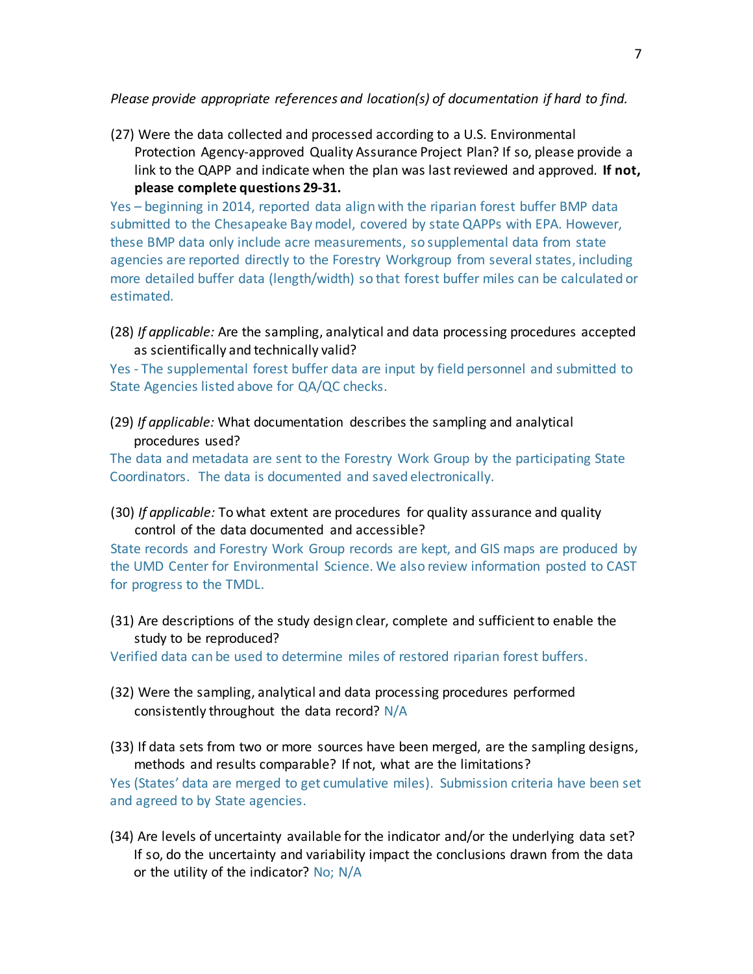*Please provide appropriate references and location(s) of documentation if hard to find.*

(27) Were the data collected and processed according to a U.S. Environmental Protection Agency-approved Quality Assurance Project Plan? If so, please provide a link to the QAPP and indicate when the plan was lastreviewed and approved. **If not, please complete questions 29-31.**

Yes – beginning in 2014, reported data align with the riparian forest buffer BMP data submitted to the Chesapeake Bay model, covered by state QAPPs with EPA. However, these BMP data only include acre measurements, so supplemental data from state agencies are reported directly to the Forestry Workgroup from several states, including more detailed buffer data (length/width) so that forest buffer miles can be calculated or estimated.

(28) *If applicable:* Are the sampling, analytical and data processing procedures accepted as scientifically and technically valid?

Yes - The supplemental forest buffer data are input by field personnel and submitted to State Agencies listed above for QA/QC checks.

(29) *If applicable:* What documentation describes the sampling and analytical procedures used?

The data and metadata are sent to the Forestry Work Group by the participating State Coordinators. The data is documented and saved electronically.

(30) *If applicable:* To what extent are procedures for quality assurance and quality control of the data documented and accessible?

State records and Forestry Work Group records are kept, and GIS maps are produced by the UMD Center for Environmental Science. We also review information posted to CAST for progress to the TMDL.

(31) Are descriptions of the study design clear, complete and sufficientto enable the study to be reproduced?

Verified data can be used to determine miles of restored riparian forest buffers.

- (32) Were the sampling, analytical and data processing procedures performed consistently throughout the data record? N/A
- (33) If data sets from two or more sources have been merged, are the sampling designs, methods and results comparable? If not, what are the limitations?

Yes (States' data are merged to get cumulative miles). Submission criteria have been set and agreed to by State agencies.

(34) Are levels of uncertainty available for the indicator and/or the underlying data set? If so, do the uncertainty and variability impact the conclusions drawn from the data or the utility of the indicator? No; N/A